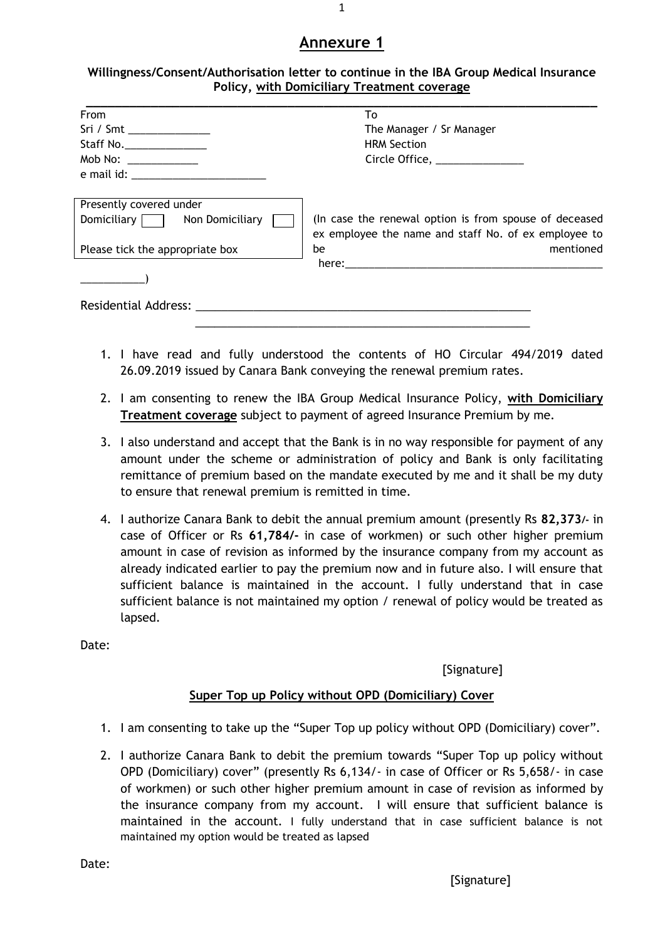# **Annexure 1**

| Willingness/Consent/Authorisation letter to continue in the IBA Group Medical Insurance |
|-----------------------------------------------------------------------------------------|
| <b>Policy, with Domiciliary Treatment coverage</b>                                      |

| <b>From</b>                                                                                                                                                                                                                   | To                                                                                                             |
|-------------------------------------------------------------------------------------------------------------------------------------------------------------------------------------------------------------------------------|----------------------------------------------------------------------------------------------------------------|
| Sri / Smt ______________                                                                                                                                                                                                      | The Manager / Sr Manager                                                                                       |
| Staff No.__________________                                                                                                                                                                                                   | <b>HRM Section</b>                                                                                             |
| Mob No: $\frac{1}{2}$                                                                                                                                                                                                         | Circle Office, ______________                                                                                  |
|                                                                                                                                                                                                                               |                                                                                                                |
| Presently covered under                                                                                                                                                                                                       |                                                                                                                |
| Domiciliary Non Domiciliary                                                                                                                                                                                                   | (In case the renewal option is from spouse of deceased<br>ex employee the name and staff No. of ex employee to |
| Please tick the appropriate box                                                                                                                                                                                               | mentioned<br>be                                                                                                |
|                                                                                                                                                                                                                               |                                                                                                                |
|                                                                                                                                                                                                                               |                                                                                                                |
| Residential Address: New York Process and the Contract of the Contract of the Contract of the Contract of the Contract of the Contract of the Contract of the Contract of the Contract of the Contract of the Contract of the |                                                                                                                |
|                                                                                                                                                                                                                               |                                                                                                                |

- 1. I have read and fully understood the contents of HO Circular 494/2019 dated 26.09.2019 issued by Canara Bank conveying the renewal premium rates.
- 2. I am consenting to renew the IBA Group Medical Insurance Policy, **with Domiciliary Treatment coverage** subject to payment of agreed Insurance Premium by me.
- 3. I also understand and accept that the Bank is in no way responsible for payment of any amount under the scheme or administration of policy and Bank is only facilitating remittance of premium based on the mandate executed by me and it shall be my duty to ensure that renewal premium is remitted in time.
- 4. I authorize Canara Bank to debit the annual premium amount (presently Rs **82,373/-** in case of Officer or Rs **61,784/-** in case of workmen) or such other higher premium amount in case of revision as informed by the insurance company from my account as already indicated earlier to pay the premium now and in future also. I will ensure that sufficient balance is maintained in the account. I fully understand that in case sufficient balance is not maintained my option / renewal of policy would be treated as lapsed.

Date:

## [Signature]

## **Super Top up Policy without OPD (Domiciliary) Cover**

- 1. I am consenting to take up the "Super Top up policy without OPD (Domiciliary) cover".
- 2. I authorize Canara Bank to debit the premium towards "Super Top up policy without OPD (Domiciliary) cover" (presently Rs 6,134/- in case of Officer or Rs 5,658/- in case of workmen) or such other higher premium amount in case of revision as informed by the insurance company from my account. I will ensure that sufficient balance is maintained in the account. I fully understand that in case sufficient balance is not maintained my option would be treated as lapsed

Date:

1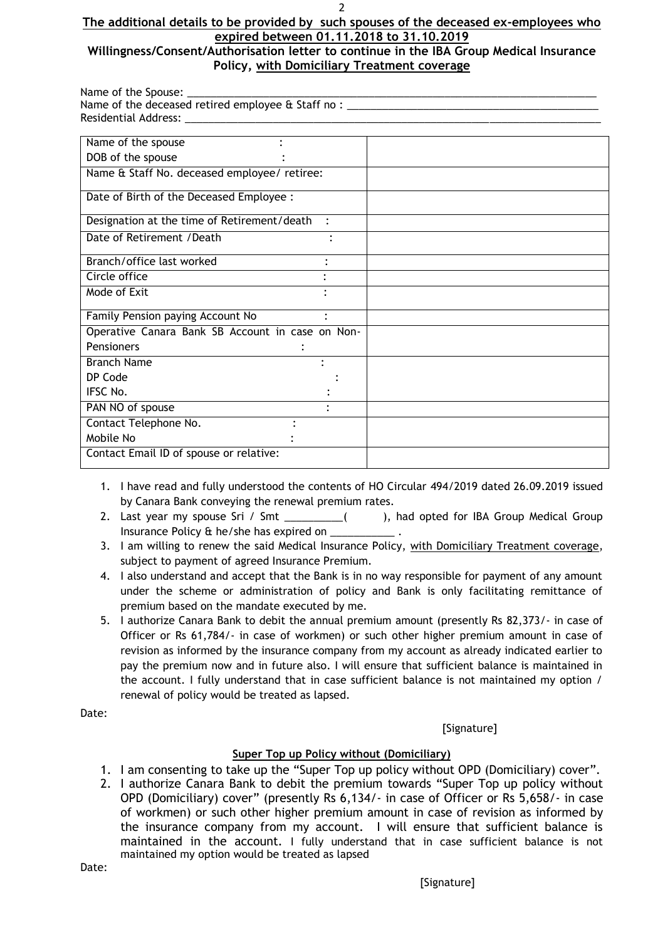### **The additional details to be provided by such spouses of the deceased ex-employees who expired between 01.11.2018 to 31.10.2019**

## **Willingness/Consent/Authorisation letter to continue in the IBA Group Medical Insurance Policy, with Domiciliary Treatment coverage**

Name of the Spouse: Name of the deceased retired employee & Staff no : Residential Address:

| <u>RESIGEIILIAL AUGIESS.</u>                       |  |
|----------------------------------------------------|--|
| Name of the spouse                                 |  |
| DOB of the spouse                                  |  |
| Name & Staff No. deceased employee/ retiree:       |  |
| Date of Birth of the Deceased Employee :           |  |
| Designation at the time of Retirement/death        |  |
| Date of Retirement / Death                         |  |
| Branch/office last worked<br>٠                     |  |
| Circle office                                      |  |
| Mode of Exit                                       |  |
| Family Pension paying Account No<br>$\ddot{\cdot}$ |  |
| Operative Canara Bank SB Account in case on Non-   |  |
| <b>Pensioners</b>                                  |  |
| <b>Branch Name</b>                                 |  |
| DP Code                                            |  |
| IFSC No.                                           |  |
| PAN NO of spouse                                   |  |
| Contact Telephone No.                              |  |
| Mobile No                                          |  |
| Contact Email ID of spouse or relative:            |  |

- 1. I have read and fully understood the contents of HO Circular 494/2019 dated 26.09.2019 issued by Canara Bank conveying the renewal premium rates.
- 2. Last year my spouse Sri / Smt \_\_\_\_\_\_\_\_\_( ), had opted for IBA Group Medical Group Insurance Policy & he/she has expired on
- 3. I am willing to renew the said Medical Insurance Policy, with Domiciliary Treatment coverage, subject to payment of agreed Insurance Premium.
- 4. I also understand and accept that the Bank is in no way responsible for payment of any amount under the scheme or administration of policy and Bank is only facilitating remittance of premium based on the mandate executed by me.
- 5. I authorize Canara Bank to debit the annual premium amount (presently Rs 82,373/- in case of Officer or Rs 61,784/- in case of workmen) or such other higher premium amount in case of revision as informed by the insurance company from my account as already indicated earlier to pay the premium now and in future also. I will ensure that sufficient balance is maintained in the account. I fully understand that in case sufficient balance is not maintained my option / renewal of policy would be treated as lapsed.

Date:

[Signature]

## **Super Top up Policy without (Domiciliary)**

- 1. I am consenting to take up the "Super Top up policy without OPD (Domiciliary) cover".
- 2. I authorize Canara Bank to debit the premium towards "Super Top up policy without OPD (Domiciliary) cover" (presently Rs 6,134/- in case of Officer or Rs 5,658/- in case of workmen) or such other higher premium amount in case of revision as informed by the insurance company from my account. I will ensure that sufficient balance is maintained in the account. I fully understand that in case sufficient balance is not maintained my option would be treated as lapsed

Date: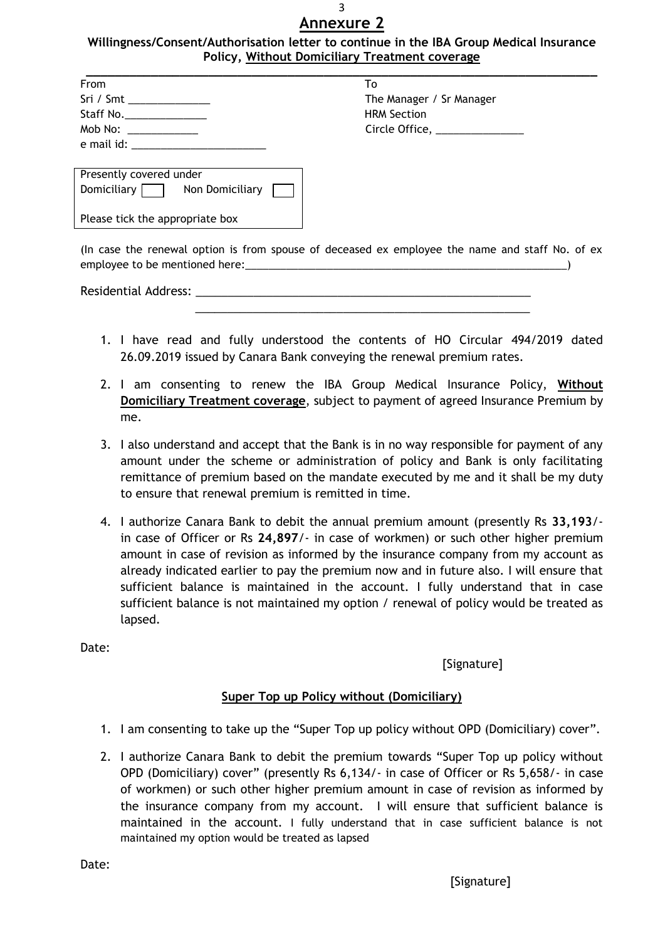### 3 **Annexure 2**

### **Willingness/Consent/Authorisation letter to continue in the IBA Group Medical Insurance Policy, Without Domiciliary Treatment coverage**

| From                                 | To                            |
|--------------------------------------|-------------------------------|
| Sri / Smt ________________           | The Manager / Sr Manager      |
| Staff No.                            | <b>HRM Section</b>            |
| Mob No: _____________                | Circle Office, ______________ |
| e mail id: _________________________ |                               |

| ιU                       |  |
|--------------------------|--|
| The Manager / Sr Manager |  |
| HRM Section              |  |
| Circle Office, _         |  |
|                          |  |

| Presently covered under         |                 |  |  |  |
|---------------------------------|-----------------|--|--|--|
| Domiciliary $\Box$              | Non Domiciliary |  |  |  |
| Please tick the appropriate box |                 |  |  |  |

(In case the renewal option is from spouse of deceased ex employee the name and staff No. of ex employee to be mentioned here:

 $\frac{1}{\sqrt{2}}$  ,  $\frac{1}{\sqrt{2}}$  ,  $\frac{1}{\sqrt{2}}$  ,  $\frac{1}{\sqrt{2}}$  ,  $\frac{1}{\sqrt{2}}$  ,  $\frac{1}{\sqrt{2}}$  ,  $\frac{1}{\sqrt{2}}$  ,  $\frac{1}{\sqrt{2}}$  ,  $\frac{1}{\sqrt{2}}$  ,  $\frac{1}{\sqrt{2}}$  ,  $\frac{1}{\sqrt{2}}$  ,  $\frac{1}{\sqrt{2}}$  ,  $\frac{1}{\sqrt{2}}$  ,  $\frac{1}{\sqrt{2}}$  ,  $\frac{1}{\sqrt{2}}$ 

Residential Address: \_

- 1. I have read and fully understood the contents of HO Circular 494/2019 dated 26.09.2019 issued by Canara Bank conveying the renewal premium rates.
- 2. I am consenting to renew the IBA Group Medical Insurance Policy, **Without Domiciliary Treatment coverage**, subject to payment of agreed Insurance Premium by me.
- 3. I also understand and accept that the Bank is in no way responsible for payment of any amount under the scheme or administration of policy and Bank is only facilitating remittance of premium based on the mandate executed by me and it shall be my duty to ensure that renewal premium is remitted in time.
- 4. I authorize Canara Bank to debit the annual premium amount (presently Rs **33,193**/ in case of Officer or Rs **24,897**/- in case of workmen) or such other higher premium amount in case of revision as informed by the insurance company from my account as already indicated earlier to pay the premium now and in future also. I will ensure that sufficient balance is maintained in the account. I fully understand that in case sufficient balance is not maintained my option / renewal of policy would be treated as lapsed.

Date:

# [Signature]

## **Super Top up Policy without (Domiciliary)**

- 1. I am consenting to take up the "Super Top up policy without OPD (Domiciliary) cover".
- 2. I authorize Canara Bank to debit the premium towards "Super Top up policy without OPD (Domiciliary) cover" (presently Rs 6,134/- in case of Officer or Rs 5,658/- in case of workmen) or such other higher premium amount in case of revision as informed by the insurance company from my account. I will ensure that sufficient balance is maintained in the account. I fully understand that in case sufficient balance is not maintained my option would be treated as lapsed

Date: